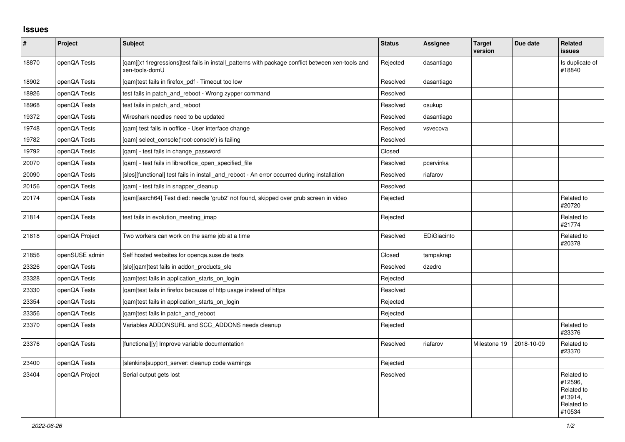## **Issues**

| $\vert$ # | Project        | Subject                                                                                                           | <b>Status</b> | Assignee    | <b>Target</b><br>version | Due date   | Related<br>issues                                                      |
|-----------|----------------|-------------------------------------------------------------------------------------------------------------------|---------------|-------------|--------------------------|------------|------------------------------------------------------------------------|
| 18870     | openQA Tests   | [qam][x11regressions]test fails in install_patterns with package conflict between xen-tools and<br>xen-tools-domU | Rejected      | dasantiago  |                          |            | Is duplicate of<br>#18840                                              |
| 18902     | openQA Tests   | [qam]test fails in firefox_pdf - Timeout too low                                                                  | Resolved      | dasantiago  |                          |            |                                                                        |
| 18926     | openQA Tests   | test fails in patch_and_reboot - Wrong zypper command                                                             | Resolved      |             |                          |            |                                                                        |
| 18968     | openQA Tests   | test fails in patch_and_reboot                                                                                    | Resolved      | osukup      |                          |            |                                                                        |
| 19372     | openQA Tests   | Wireshark needles need to be updated                                                                              | Resolved      | dasantiago  |                          |            |                                                                        |
| 19748     | openQA Tests   | [qam] test fails in ooffice - User interface change                                                               | Resolved      | vsvecova    |                          |            |                                                                        |
| 19782     | openQA Tests   | [gam] select console('root-console') is failing                                                                   | Resolved      |             |                          |            |                                                                        |
| 19792     | openQA Tests   | [qam] - test fails in change_password                                                                             | Closed        |             |                          |            |                                                                        |
| 20070     | openQA Tests   | [qam] - test fails in libreoffice_open_specified_file                                                             | Resolved      | pcervinka   |                          |            |                                                                        |
| 20090     | openQA Tests   | [sles][functional] test fails in install_and_reboot - An error occurred during installation                       | Resolved      | riafarov    |                          |            |                                                                        |
| 20156     | openQA Tests   | [gam] - test fails in snapper cleanup                                                                             | Resolved      |             |                          |            |                                                                        |
| 20174     | openQA Tests   | [gam][aarch64] Test died: needle 'grub2' not found, skipped over grub screen in video                             | Rejected      |             |                          |            | Related to<br>#20720                                                   |
| 21814     | openQA Tests   | test fails in evolution meeting imap                                                                              | Rejected      |             |                          |            | Related to<br>#21774                                                   |
| 21818     | openQA Project | Two workers can work on the same job at a time                                                                    | Resolved      | EDiGiacinto |                          |            | Related to<br>#20378                                                   |
| 21856     | openSUSE admin | Self hosted websites for openga.suse.de tests                                                                     | Closed        | tampakrap   |                          |            |                                                                        |
| 23326     | openQA Tests   | [sle][qam]test fails in addon_products_sle                                                                        | Resolved      | dzedro      |                          |            |                                                                        |
| 23328     | openQA Tests   | [gam]test fails in application_starts_on_login                                                                    | Rejected      |             |                          |            |                                                                        |
| 23330     | openQA Tests   | [gam]test fails in firefox because of http usage instead of https                                                 | Resolved      |             |                          |            |                                                                        |
| 23354     | openQA Tests   | [gam]test fails in application_starts_on_login                                                                    | Rejected      |             |                          |            |                                                                        |
| 23356     | openQA Tests   | [gam]test fails in patch and reboot                                                                               | Rejected      |             |                          |            |                                                                        |
| 23370     | openQA Tests   | Variables ADDONSURL and SCC ADDONS needs cleanup                                                                  | Rejected      |             |                          |            | Related to<br>#23376                                                   |
| 23376     | openQA Tests   | [functional][y] Improve variable documentation                                                                    | Resolved      | riafarov    | Milestone 19             | 2018-10-09 | Related to<br>#23370                                                   |
| 23400     | openQA Tests   | [slenkins]support_server: cleanup code warnings                                                                   | Rejected      |             |                          |            |                                                                        |
| 23404     | openQA Project | Serial output gets lost                                                                                           | Resolved      |             |                          |            | Related to<br>#12596,<br>Related to<br>#13914,<br>Related to<br>#10534 |